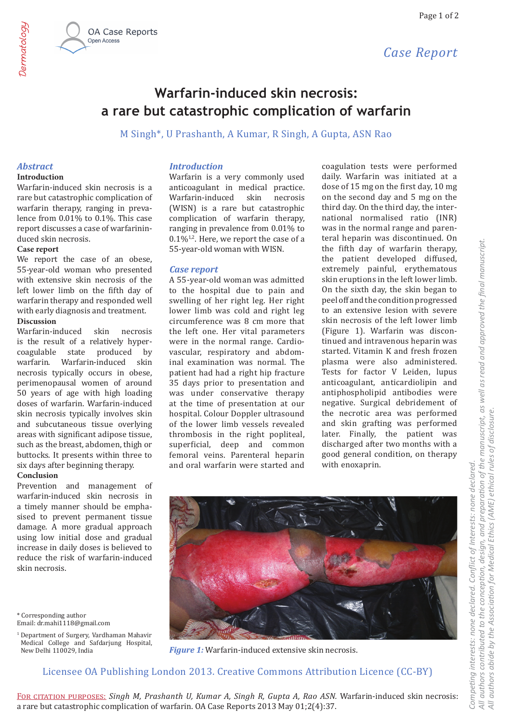

# Warfarin-induced skin necrosis: a rare but catastrophic complication of warfarin

M Singh\*, U Prashanth, A Kumar, R Singh, A Gupta, ASN Rao

## **Abstract**

Dermatology

## **Introduction**

Warfarin-induced skin necrosis is a rare but catastrophic complication of warfarin therapy, ranging in prevalence from 0.01% to 0.1%. This case report discusses a case of warfarininduced skin necrosis.

### Case report

We report the case of an obese, 55-year-old woman who presented with extensive skin necrosis of the left lower limb on the fifth day of warfarin therapy and responded well with early diagnosis and treatment.

### **Discussion**

Warfarin-induced skin necrosis is the result of a relatively hypercoagulable state produced  $_{\rm by}$ warfarin. Warfarin-induced skin necrosis typically occurs in obese. perimenopausal women of around 50 years of age with high loading doses of warfarin. Warfarin-induced skin necrosis typically involves skin and subcutaneous tissue overlying areas with significant adipose tissue, such as the breast, abdomen, thigh or buttocks. It presents within three to six days after beginning therapy.

### Conclusion

Prevention and management of warfarin-induced skin necrosis in a timely manner should be emphasised to prevent permanent tissue damage. A more gradual approach using low initial dose and gradual increase in daily doses is believed to reduce the risk of warfarin-induced skin necrosis.

\* Corresponding author Email: dr.mahi1118@gmail.com

<sup>1</sup> Department of Surgery, Vardhaman Mahavir Medical College and Safdarjung Hospital, New Delhi 110029. India

## **Introduction**

Warfarin is a very commonly used anticoagulant in medical practice. Warfarin-induced skin necrosis (WISN) is a rare but catastrophic complication of warfarin therapy, ranging in prevalence from 0.01% to  $0.1\%$ <sup>1,2</sup>. Here, we report the case of a 55-year-old woman with WISN.

### **Case report**

A 55-year-old woman was admitted to the hospital due to pain and swelling of her right leg. Her right lower limb was cold and right leg circumference was 8 cm more that the left one. Her vital parameters were in the normal range. Cardiovascular, respiratory and abdominal examination was normal. The patient had had a right hip fracture 35 days prior to presentation and was under conservative therapy at the time of presentation at our hospital. Colour Doppler ultrasound of the lower limb vessels revealed thrombosis in the right popliteal, superficial, deep and common femoral veins. Parenteral heparin and oral warfarin were started and

coagulation tests were performed daily. Warfarin was initiated at a dose of 15 mg on the first day, 10 mg on the second day and 5 mg on the third day. On the third day, the international normalised ratio (INR) was in the normal range and parenteral heparin was discontinued. On the fifth day of warfarin therapy, the patient developed diffused. extremely painful, erythematous skin eruptions in the left lower limb. On the sixth day, the skin began to peel off and the condition progressed to an extensive lesion with severe skin necrosis of the left lower limb (Figure 1). Warfarin was discontinued and intravenous heparin was started. Vitamin K and fresh frozen plasma were also administered. Tests for factor V Leiden, lupus anticoagulant, anticardiolipin and antiphospholipid antibodies were negative. Surgical debridement of the necrotic area was performed and skin grafting was performed later. Finally, the patient was discharged after two months with a good general condition, on therapy with enoxaprin.



**Figure 1:** Warfarin-induced extensive skin necrosis.

## Licensee OA Publishing London 2013. Creative Commons Attribution Licence (CC-BY)

FOR CITATION PURPOSES: Singh M, Prashanth U, Kumar A, Singh R, Gupta A, Rao ASN. Warfarin-induced skin necrosis: a rare but catastrophic complication of warfarin. OA Case Reports 2013 May 01;2(4):37.